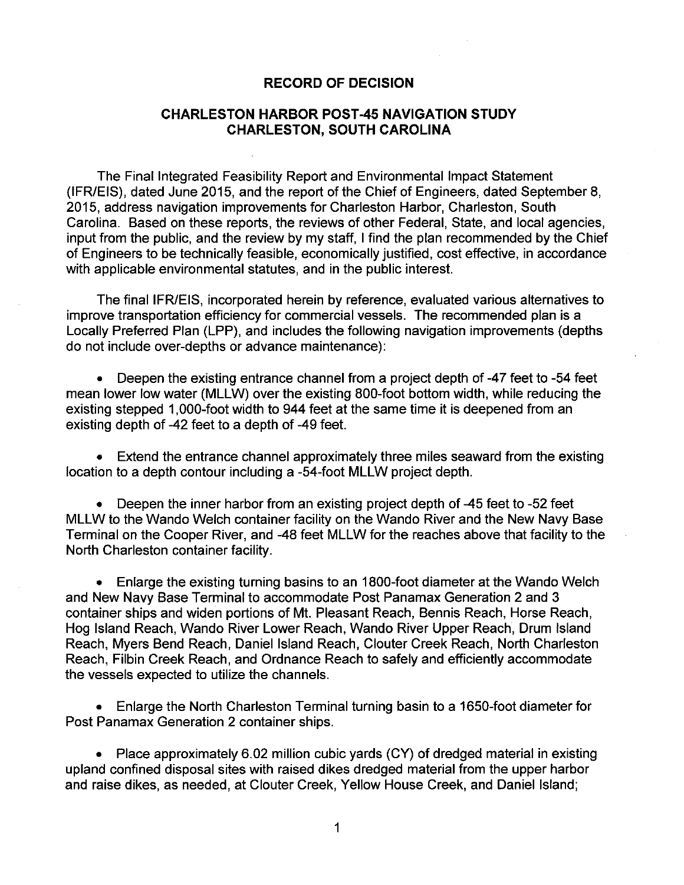## **RECORD OF DECISION**

## **CHARLESTON HARBOR POST-45 NAVIGATION STUDY CHARLESTON, SOUTH CAROLINA**

The Final Integrated Feasibility Report and Environmental Impact Statement (IFR/EIS), dated June 2015, and the report of the Chief of Engineers, dated September 8, 2015, address navigation improvements for Charleston Harbor, Charleston, South Carolina. Based on these reports, the reviews of other Federal, State, and local agencies, input from the public, and the review by my staff, I find the plan recommended by the Chief of Engineers to be technically feasible, economically justified, cost effective, in accordance with applicable environmental statutes, and in the public interest.

The final IFR/EIS, incorporated herein by reference, evaluated various alternatives to improve transportation efficiency for commercial vessels. The recommended plan is a Locally Preferred Plan (LPP), and includes the following navigation improvements (depths do not include over-depths or advance maintenance):

• Deepen the existing entrance channel from a project depth of -47 feet to -54 feet mean lower low water (MLLW) over the existing 800-foot bottom width, while reducing the existing stepped 1,000-foot width to 944 feet at the same time it is deepened from an existing depth of -42 feet to a depth of -49 feet.

• Extend the entrance channel approximately three miles seaward from the existing location to a depth contour including a -54-foot MLLW project depth.

• Deepen the inner harbor from an existing project depth of -45 feet to -52 feet MLLW to the Wando Welch container facility on the Wando River and the New Navy Base Terminal on the Cooper River, and -48 feet MLLW for the reaches above that facility to the North Charleston container facility.

• Enlarge the existing turning basins to an 1800-foot diameter at the Wando Welch and New Navy Base Terminal to accommodate Post Panamax Generation 2 and 3 container ships and widen portions of Mt. Pleasant Reach, Bennis Reach, Horse Reach, Hog Island Reach, Wando River Lower Reach, Wando River Upper Reach, Drum Island Reach, Myers Bend Reach, Daniel Island Reach, Clouter Creek Reach, North Charleston Reach, Filbin Creek Reach, and Ordnance Reach to safely and efficiently accommodate the vessels expected to utilize the channels.

• Enlarge the North Charleston Terminal turning basin to a 1650-foot diameter for Post Panamax Generation 2 container ships.

• Place approximately 6.02 million cubic yards (CY) of dredged material in existing upland confined disposal sites with raised dikes dredged material from the upper harbor and raise dikes, as needed, at Clouter Creek, Yellow House Creek, and Daniel Island;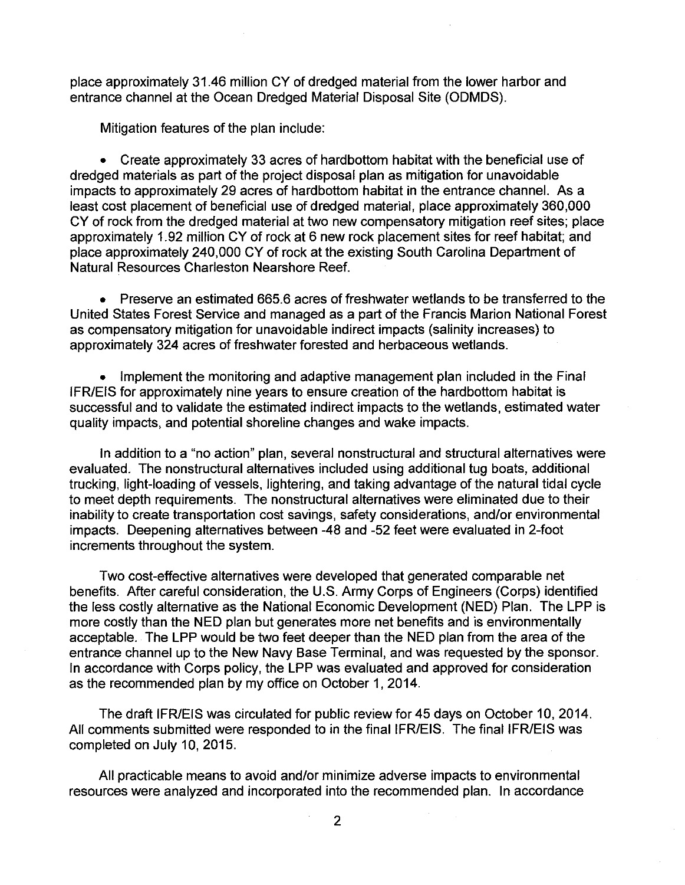place approximately 31.46 million CY of dredged material from the lower harbor and entrance channel at the Ocean Dredged Material Disposal Site (ODMDS).

Mitigation features of the plan include:

• Create approximately 33 acres of hardbottom habitat with the beneficial use of dredged materials as part of the project disposal plan as mitigation for unavoidable impacts to approximately 29 acres of hardbottom habitat in the entrance channel. As a least cost placement of beneficial use of dredged material, place approximately 360,000 CY of rock from the dredged material at two new compensatory mitigation reef sites; place approximately 1.92 million CY of rock at 6 new rock placement sites for reef habitat; and place approximately 240,000 CY of rock at the existing South Carolina Department of Natural Resources Charleston Nearshore Reef.

• Preserve an estimated 665.6 acres of freshwater wetlands to be transferred to the United States Forest Service and managed as a part of the Francis Marion National Forest as compensatory mitigation for unavoidable indirect impacts (salinity increases) to approximately 324 acres of freshwater forested and herbaceous wetlands.

• Implement the monitoring and adaptive management plan included in the Final IFR/EIS for approximately nine years to ensure creation of the hardbottom habitat is successful and to validate the estimated indirect impacts to the wetlands, estimated water quality impacts, and potential shoreline changes and wake impacts.

In addition to a "no action" plan, several nonstructural and structural alternatives were evaluated. The nonstructural alternatives included using additional tug boats, additional trucking, light-loading of vessels, lightering, and taking advantage of the natural tidal cycle to meet depth requirements. The nonstructural alternatives were eliminated due to their inability to create transportation cost savings, safety considerations, and/or environmental impacts. Deepening alternatives between -48 and -52 feet were evaluated in 2-foot increments throughout the system.

Two cost-effective alternatives were developed that generated comparable net benefits. After careful consideration, the U.S. Army Corps of Engineers (Corps) identified the less costly alternative as the National Economic Development (NED) Plan. The LPP is more costly than the NED plan but generates more net benefits and is environmentally acceptable. The LPP would be two feet deeper than the NED plan from the area of the entrance channel up to the New Navy Base Terminal, and was requested by the sponsor. In accordance with Corps policy, the LPP was evaluated and approved for consideration as the recommended plan by my office on October 1, 2014.

The draft IFR/EIS was circulated for public review for 45 days on October 10, 2014. All comments submitted were responded to in the final IFR/EIS. The final IFR/EIS was completed on July 10, 2015.

All practicable means to avoid and/or minimize adverse impacts to environmental resources were analyzed and incorporated into the recommended plan. In accordance